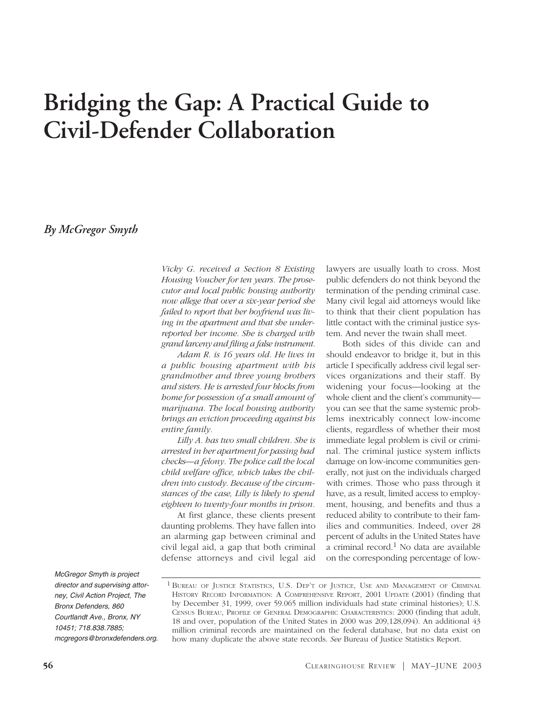# **Bridging the Gap: A Practical Guide to Civil-Defender Collaboration**

*By McGregor Smyth*

*Vicky G. received a Section 8 Existing Housing Voucher for ten years. The prosecutor and local public housing authority now allege that over a six-year period she failed to report that her boyfriend was living in the apartment and that she underreported her income. She is charged with grand larceny and filing a false instrument.*

*Adam R. is 16 years old. He lives in a public housing apartment with his grandmother and three young brothers and sisters. He is arrested four blocks from home for possession of a small amount of marijuana. The local housing authority brings an eviction proceeding against his entire family.*

*Lilly A. has two small children. She is arrested in her apartment for passing bad checks—a felony. The police call the local child welfare office, which takes the children into custody. Because of the circumstances of the case, Lilly is likely to spend eighteen to twenty-four months in prison.*

At first glance, these clients present daunting problems. They have fallen into an alarming gap between criminal and civil legal aid, a gap that both criminal defense attorneys and civil legal aid lawyers are usually loath to cross. Most public defenders do not think beyond the termination of the pending criminal case. Many civil legal aid attorneys would like to think that their client population has little contact with the criminal justice system. And never the twain shall meet.

Both sides of this divide can and should endeavor to bridge it, but in this article I specifically address civil legal services organizations and their staff. By widening your focus—looking at the whole client and the client's community you can see that the same systemic problems inextricably connect low-income clients, regardless of whether their most immediate legal problem is civil or criminal. The criminal justice system inflicts damage on low-income communities generally, not just on the individuals charged with crimes. Those who pass through it have, as a result, limited access to employment, housing, and benefits and thus a reduced ability to contribute to their families and communities. Indeed, over 28 percent of adults in the United States have a criminal record. $1$  No data are available on the corresponding percentage of low-

*McGregor Smyth is project director and supervising attorney, Civil Action Project, The Bronx Defenders, 860 Courtlandt Ave., Bronx, NY 10451; 718.838.7885; mcgregors@bronxdefenders.org.*

<sup>1</sup> BUREAU OF JUSTICE STATISTICS, U.S. DEP'T OF JUSTICE, USE AND MANAGEMENT OF CRIMINAL HISTORY RECORD INFORMATION: A COMPREHENSIVE REPORT, 2001 UPDATE (2001) (finding that by December 31, 1999, over 59.065 million individuals had state criminal histories); U.S. CENSUS BUREAU, PROFILE OF GENERAL DEMOGRAPHIC CHARACTERISTICS: 2000 (finding that adult, 18 and over, population of the United States in 2000 was 209,128,094). An additional 43 million criminal records are maintained on the federal database, but no data exist on how many duplicate the above state records. *See* Bureau of Justice Statistics Report.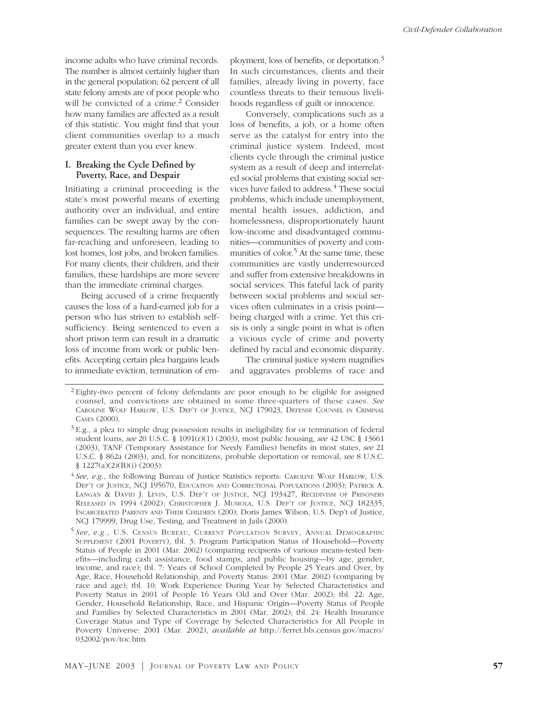income adults who have criminal records. The number is almost certainly higher than in the general population; 62 percent of all state felony arrests are of poor people who will be convicted of a crime.<sup>2</sup> Consider how many families are affected as a result of this statistic. You might find that your client communities overlap to a much greater extent than you ever knew.

### **I. Breaking the Cycle Defined by Poverty, Race, and Despair**

Initiating a criminal proceeding is the state's most powerful means of exerting authority over an individual, and entire families can be swept away by the consequences. The resulting harms are often far-reaching and unforeseen, leading to lost homes, lost jobs, and broken families. For many clients, their children, and their families, these hardships are more severe than the immediate criminal charges.

Being accused of a crime frequently causes the loss of a hard-earned job for a person who has striven to establish selfsufficiency. Being sentenced to even a short prison term can result in a dramatic loss of income from work or public benefits. Accepting certain plea bargains leads to immediate eviction, termination of em-

ployment, loss of benefits, or deportation.3 In such circumstances, clients and their families, already living in poverty, face countless threats to their tenuous livelihoods regardless of guilt or innocence.

Conversely, complications such as a loss of benefits, a job, or a home often serve as the catalyst for entry into the criminal justice system. Indeed, most clients cycle through the criminal justice system as a result of deep and interrelated social problems that existing social services have failed to address.<sup>4</sup> These social problems, which include unemployment, mental health issues, addiction, and homelessness, disproportionately haunt low-income and disadvantaged communities—communities of poverty and communities of color.<sup>5</sup> At the same time, these communities are vastly underresourced and suffer from extensive breakdowns in social services. This fateful lack of parity between social problems and social services often culminates in a crisis point being charged with a crime. Yet this crisis is only a single point in what is often a vicious cycle of crime and poverty defined by racial and economic disparity.

The criminal justice system magnifies and aggravates problems of race and

<sup>2</sup> Eighty-two percent of felony defendants are poor enough to be eligible for assigned counsel, and convictions are obtained in some three-quarters of these cases. *See* CAROLINE WOLF HARLOW, U.S. DEP'T OF JUSTICE, NCJ 179023, DEFENSE COUNSEL IN CRIMINAL CASES (2000).

 $3E.g., a plea to simple drug possession results in ineligibility for or termination of federal$ student loans, *see* 20 U.S.C. § 1091(r)(1) (2003), most public housing, *see* 42 USC § 13661 (2003), TANF (Temporary Assistance for Needy Families) benefits in most states, *see* 21 U.S.C. § 862a (2003), and, for noncitizens, probable deportation or removal, *see* 8 U.S.C. § 1227(a)(2)(B)(i) (2003).

<sup>4</sup> *See*, *e.g.*, the following Bureau of Justice Statistics reports: CAROLINE WOLF HARLOW, U.S. DEP'T OF JUSTICE, NCJ 195670, EDUCATION AND CORRECTIONAL POPULATIONS (2003); PATRICK A. LANGAN & DAVID J. LEVIN, U.S. DEP'T OF JUSTICE, NCJ 193427, RECIDIVISM OF PRISONERS RELEASED IN 1994 (2002); CHRISTOPHER J. MUMOLA, U.S. DEP'T OF JUSTICE, NCJ 182335, INCARCERATED PARENTS AND THEIR CHILDREN (200); Doris James Wilson, U.S. Dep't of Justice, NCJ 179999, Drug Use, Testing, and Treatment in Jails (2000).

<sup>5</sup> *See*, *e.g.*, U.S. CENSUS BUREAU, CURRENT POPULATION SURVEY, ANNUAL DEMOGRAPHIC SUPPLEMENT (2001 POVERTY), tbl. 3: Program Participation Status of Household—Poverty Status of People in 2001 (Mar. 2002) (comparing recipients of various means-tested benefits—including cash assistance, food stamps, and public housing—by age, gender, income, and race); tbl. 7: Years of School Completed by People 25 Years and Over, by Age, Race, Household Relationship, and Poverty Status: 2001 (Mar. 2002) (comparing by race and age); tbl. 10: Work Experience During Year by Selected Characteristics and Poverty Status in 2001 of People 16 Years Old and Over (Mar. 2002); tbl. 22: Age, Gender, Household Relationship, Race, and Hispanic Origin—Poverty Status of People and Families by Selected Characteristics in 2001 (Mar. 2002); tbl. 24: Health Insurance Coverage Status and Type of Coverage by Selected Characteristics for All People in Poverty Universe: 2001 (Mar. 2002), *available at* http://ferret.bls.census.gov/macro/ 032002/pov/toc.htm.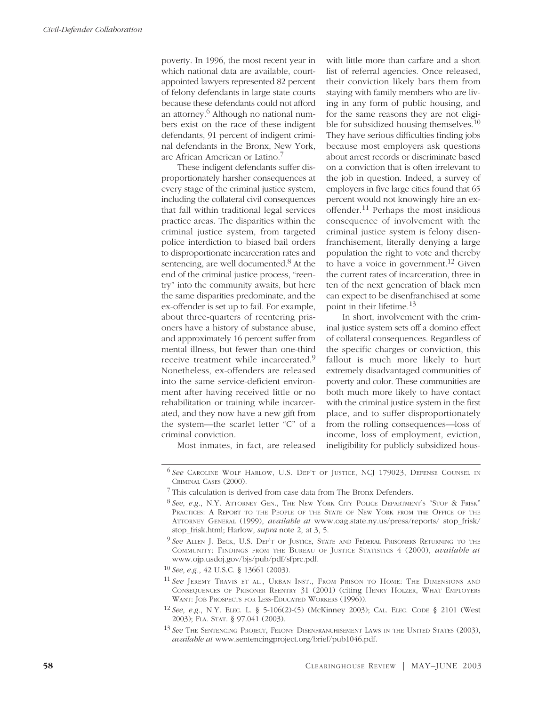poverty. In 1996, the most recent year in which national data are available, courtappointed lawyers represented 82 percent of felony defendants in large state courts because these defendants could not afford an attorney.6 Although no national numbers exist on the race of these indigent defendants, 91 percent of indigent criminal defendants in the Bronx, New York, are African American or Latino.7

These indigent defendants suffer disproportionately harsher consequences at every stage of the criminal justice system, including the collateral civil consequences that fall within traditional legal services practice areas. The disparities within the criminal justice system, from targeted police interdiction to biased bail orders to disproportionate incarceration rates and sentencing, are well documented.<sup>8</sup> At the end of the criminal justice process, "reentry" into the community awaits, but here the same disparities predominate, and the ex-offender is set up to fail. For example, about three-quarters of reentering prisoners have a history of substance abuse, and approximately 16 percent suffer from mental illness, but fewer than one-third receive treatment while incarcerated.<sup>9</sup> Nonetheless, ex-offenders are released into the same service-deficient environment after having received little or no rehabilitation or training while incarcerated, and they now have a new gift from the system—the scarlet letter "C" of a criminal conviction.

with little more than carfare and a short list of referral agencies. Once released, their conviction likely bars them from staying with family members who are living in any form of public housing, and for the same reasons they are not eligible for subsidized housing themselves.10 They have serious difficulties finding jobs because most employers ask questions about arrest records or discriminate based on a conviction that is often irrelevant to the job in question. Indeed, a survey of employers in five large cities found that 65 percent would not knowingly hire an exoffender.<sup>11</sup> Perhaps the most insidious consequence of involvement with the criminal justice system is felony disenfranchisement, literally denying a large population the right to vote and thereby to have a voice in government.<sup>12</sup> Given the current rates of incarceration, three in ten of the next generation of black men can expect to be disenfranchised at some point in their lifetime.13

In short, involvement with the criminal justice system sets off a domino effect of collateral consequences. Regardless of the specific charges or conviction, this fallout is much more likely to hurt extremely disadvantaged communities of poverty and color. These communities are both much more likely to have contact with the criminal justice system in the first place, and to suffer disproportionately from the rolling consequences—loss of income, loss of employment, eviction, ineligibility for publicly subsidized hous-

Most inmates, in fact, are released

<sup>6</sup> *See* CAROLINE WOLF HARLOW, U.S. DEP'T OF JUSTICE, NCJ 179023, DEFENSE COUNSEL IN CRIMINAL CASES (2000).

<sup>7</sup> This calculation is derived from case data from The Bronx Defenders.

<sup>8</sup> *See*, *e.g.*, N.Y. ATTORNEY GEN., THE NEW YORK CITY POLICE DEPARTMENT'S "STOP & FRISK" PRACTICES: A REPORT TO THE PEOPLE OF THE STATE OF NEW YORK FROM THE OFFICE OF THE ATTORNEY GENERAL (1999), *available at* www.oag.state.ny.us/press/reports/ stop\_frisk/ stop\_frisk.html; Harlow, *supra* note 2, at 3, 5.

<sup>9</sup> *See* ALLEN J. BECK, U.S. DEP'T OF JUSTICE, STATE AND FEDERAL PRISONERS RETURNING TO THE COMMUNITY: FINDINGS FROM THE BUREAU OF JUSTICE STATISTICS 4 (2000), *available at* www.ojp.usdoj.gov/bjs/pub/pdf/sfprc.pdf.

<sup>10</sup> *See*, *e.g.*, 42 U.S.C. § 13661 (2003).

<sup>11</sup> *See* JEREMY TRAVIS ET AL., URBAN INST., FROM PRISON TO HOME: THE DIMENSIONS AND CONSEQUENCES OF PRISONER REENTRY 31 (2001) (citing HENRY HOLZER, WHAT EMPLOYERS WANT: JOB PROSPECTS FOR LESS-EDUCATED WORKERS (1996)).

<sup>12</sup> *See*, *e.g.*, N.Y. ELEC. L. § 5-106(2)-(5) (McKinney 2003); CAL. ELEC. CODE § 2101 (West 2003); FLA. STAT. § 97.041 (2003).

<sup>13</sup> *See* THE SENTENCING PROJECT, FELONY DISENFRANCHISEMENT LAWS IN THE UNITED STATES (2003), *available at* www.sentencingproject.org/brief/pub1046.pdf.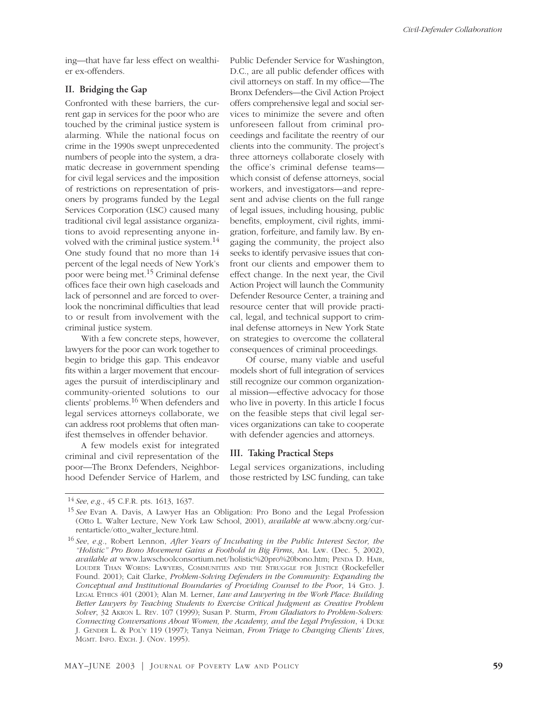ing—that have far less effect on wealthier ex-offenders.

## **II. Bridging the Gap**

Confronted with these barriers, the current gap in services for the poor who are touched by the criminal justice system is alarming. While the national focus on crime in the 1990s swept unprecedented numbers of people into the system, a dramatic decrease in government spending for civil legal services and the imposition of restrictions on representation of prisoners by programs funded by the Legal Services Corporation (LSC) caused many traditional civil legal assistance organizations to avoid representing anyone involved with the criminal justice system.<sup>14</sup> One study found that no more than 14 percent of the legal needs of New York's poor were being met.15 Criminal defense offices face their own high caseloads and lack of personnel and are forced to overlook the noncriminal difficulties that lead to or result from involvement with the criminal justice system.

With a few concrete steps, however, lawyers for the poor can work together to begin to bridge this gap. This endeavor fits within a larger movement that encourages the pursuit of interdisciplinary and community-oriented solutions to our clients' problems.16 When defenders and legal services attorneys collaborate, we can address root problems that often manifest themselves in offender behavior.

A few models exist for integrated criminal and civil representation of the poor—The Bronx Defenders, Neighborhood Defender Service of Harlem, and

Public Defender Service for Washington, D.C., are all public defender offices with civil attorneys on staff. In my office—The Bronx Defenders—the Civil Action Project offers comprehensive legal and social services to minimize the severe and often unforeseen fallout from criminal proceedings and facilitate the reentry of our clients into the community. The project's three attorneys collaborate closely with the office's criminal defense teams which consist of defense attorneys, social workers, and investigators—and represent and advise clients on the full range of legal issues, including housing, public benefits, employment, civil rights, immigration, forfeiture, and family law. By engaging the community, the project also seeks to identify pervasive issues that confront our clients and empower them to effect change. In the next year, the Civil Action Project will launch the Community Defender Resource Center, a training and resource center that will provide practical, legal, and technical support to criminal defense attorneys in New York State on strategies to overcome the collateral consequences of criminal proceedings.

Of course, many viable and useful models short of full integration of services still recognize our common organizational mission—effective advocacy for those who live in poverty. In this article I focus on the feasible steps that civil legal services organizations can take to cooperate with defender agencies and attorneys.

### **III. Taking Practical Steps**

Legal services organizations, including those restricted by LSC funding, can take

<sup>14</sup> *See*, *e.g.*, 45 C.F.R. pts. 1613, 1637.

<sup>15</sup> *See* Evan A. Davis, A Lawyer Has an Obligation: Pro Bono and the Legal Profession (Otto L. Walter Lecture, New York Law School, 2001), *available at* www.abcny.org/currentarticle/otto\_walter\_lecture.html.

<sup>16</sup> *See*, *e.g.*, Robert Lennon, *After Years of Incubating in the Public Interest Sector, the "Holistic" Pro Bono Movement Gains a Foothold in Big Firms*, AM. LAW. (Dec. 5, 2002), *available at* www.lawschoolconsortium.net/holistic%20pro%20bono.htm; PENDA D. HAIR, LOUDER THAN WORDS: LAWYERS, COMMUNITIES AND THE STRUGGLE FOR JUSTICE (Rockefeller Found. 2001); Cait Clarke, *Problem-Solving Defenders in the Community: Expanding the Conceptual and Institutional Boundaries of Providing Counsel to the Poor*, 14 GEO. J. LEGAL ETHICS 401 (2001); Alan M. Lerner, *Law and Lawyering in the Work Place: Building Better Lawyers by Teaching Students to Exercise Critical Judgment as Creative Problem Solver*, 32 AKRON L. REV. 107 (1999); Susan P. Sturm, *From Gladiators to Problem-Solvers: Connecting Conversations About Women, the Academy, and the Legal Profession*, 4 DUKE J. GENDER L. & POL'Y 119 (1997); Tanya Neiman, *From Triage to Changing Clients' Lives*, MGMT. INFO. EXCH. J. (Nov. 1995).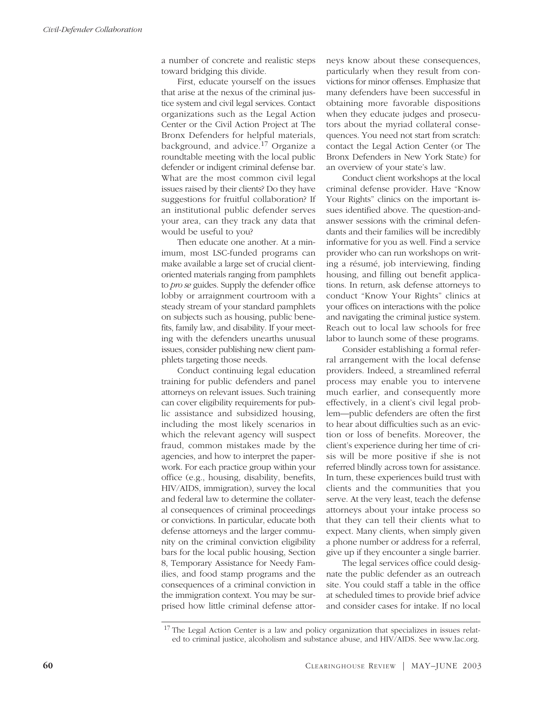a number of concrete and realistic steps toward bridging this divide.

First, educate yourself on the issues that arise at the nexus of the criminal justice system and civil legal services. Contact organizations such as the Legal Action Center or the Civil Action Project at The Bronx Defenders for helpful materials, background, and advice.<sup>17</sup> Organize a roundtable meeting with the local public defender or indigent criminal defense bar. What are the most common civil legal issues raised by their clients? Do they have suggestions for fruitful collaboration? If an institutional public defender serves your area, can they track any data that would be useful to you?

Then educate one another. At a minimum, most LSC-funded programs can make available a large set of crucial clientoriented materials ranging from pamphlets to *pro se* guides. Supply the defender office lobby or arraignment courtroom with a steady stream of your standard pamphlets on subjects such as housing, public benefits, family law, and disability. If your meeting with the defenders unearths unusual issues, consider publishing new client pamphlets targeting those needs.

Conduct continuing legal education training for public defenders and panel attorneys on relevant issues. Such training can cover eligibility requirements for public assistance and subsidized housing, including the most likely scenarios in which the relevant agency will suspect fraud, common mistakes made by the agencies, and how to interpret the paperwork. For each practice group within your office (e.g., housing, disability, benefits, HIV/AIDS, immigration), survey the local and federal law to determine the collateral consequences of criminal proceedings or convictions. In particular, educate both defense attorneys and the larger community on the criminal conviction eligibility bars for the local public housing, Section 8, Temporary Assistance for Needy Families, and food stamp programs and the consequences of a criminal conviction in the immigration context. You may be surprised how little criminal defense attorneys know about these consequences, particularly when they result from convictions for minor offenses. Emphasize that many defenders have been successful in obtaining more favorable dispositions when they educate judges and prosecutors about the myriad collateral consequences. You need not start from scratch: contact the Legal Action Center (or The Bronx Defenders in New York State) for an overview of your state's law.

Conduct client workshops at the local criminal defense provider. Have "Know Your Rights" clinics on the important issues identified above. The question-andanswer sessions with the criminal defendants and their families will be incredibly informative for you as well. Find a service provider who can run workshops on writing a résumé, job interviewing, finding housing, and filling out benefit applications. In return, ask defense attorneys to conduct "Know Your Rights" clinics at your offices on interactions with the police and navigating the criminal justice system. Reach out to local law schools for free labor to launch some of these programs.

Consider establishing a formal referral arrangement with the local defense providers. Indeed, a streamlined referral process may enable you to intervene much earlier, and consequently more effectively, in a client's civil legal problem—public defenders are often the first to hear about difficulties such as an eviction or loss of benefits. Moreover, the client's experience during her time of crisis will be more positive if she is not referred blindly across town for assistance. In turn, these experiences build trust with clients and the communities that you serve. At the very least, teach the defense attorneys about your intake process so that they can tell their clients what to expect. Many clients, when simply given a phone number or address for a referral, give up if they encounter a single barrier.

The legal services office could designate the public defender as an outreach site. You could staff a table in the office at scheduled times to provide brief advice and consider cases for intake. If no local

<sup>17</sup> The Legal Action Center is a law and policy organization that specializes in issues related to criminal justice, alcoholism and substance abuse, and HIV/AIDS. See www.lac.org.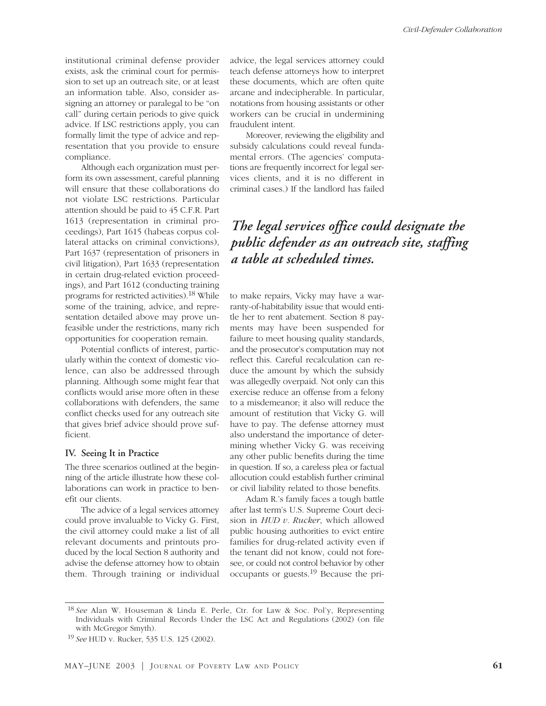institutional criminal defense provider exists, ask the criminal court for permission to set up an outreach site, or at least an information table. Also, consider assigning an attorney or paralegal to be "on call" during certain periods to give quick advice. If LSC restrictions apply, you can formally limit the type of advice and representation that you provide to ensure compliance.

Although each organization must perform its own assessment, careful planning will ensure that these collaborations do not violate LSC restrictions. Particular attention should be paid to 45 C.F.R. Part 1613 (representation in criminal proceedings), Part 1615 (habeas corpus collateral attacks on criminal convictions), Part 1637 (representation of prisoners in civil litigation), Part 1633 (representation in certain drug-related eviction proceedings), and Part 1612 (conducting training programs for restricted activities).18 While some of the training, advice, and representation detailed above may prove unfeasible under the restrictions, many rich opportunities for cooperation remain.

Potential conflicts of interest, particularly within the context of domestic violence, can also be addressed through planning. Although some might fear that conflicts would arise more often in these collaborations with defenders, the same conflict checks used for any outreach site that gives brief advice should prove sufficient.

#### **IV. Seeing It in Practice**

The three scenarios outlined at the beginning of the article illustrate how these collaborations can work in practice to benefit our clients.

The advice of a legal services attorney could prove invaluable to Vicky G. First, the civil attorney could make a list of all relevant documents and printouts produced by the local Section 8 authority and advise the defense attorney how to obtain them. Through training or individual advice, the legal services attorney could teach defense attorneys how to interpret these documents, which are often quite arcane and indecipherable. In particular, notations from housing assistants or other workers can be crucial in undermining fraudulent intent.

Moreover, reviewing the eligibility and subsidy calculations could reveal fundamental errors. (The agencies' computations are frequently incorrect for legal services clients, and it is no different in criminal cases.) If the landlord has failed

# *The legal services office could designate the public defender as an outreach site, staffing a table at scheduled times.*

to make repairs, Vicky may have a warranty-of-habitability issue that would entitle her to rent abatement. Section 8 payments may have been suspended for failure to meet housing quality standards, and the prosecutor's computation may not reflect this. Careful recalculation can reduce the amount by which the subsidy was allegedly overpaid. Not only can this exercise reduce an offense from a felony to a misdemeanor; it also will reduce the amount of restitution that Vicky G. will have to pay. The defense attorney must also understand the importance of determining whether Vicky G. was receiving any other public benefits during the time in question. If so, a careless plea or factual allocution could establish further criminal or civil liability related to those benefits.

Adam R.'s family faces a tough battle after last term's U.S. Supreme Court decision in *HUD v. Rucker*, which allowed public housing authorities to evict entire families for drug-related activity even if the tenant did not know, could not foresee, or could not control behavior by other occupants or guests.<sup>19</sup> Because the pri-

<sup>18</sup> *See* Alan W. Houseman & Linda E. Perle, Ctr. for Law & Soc. Pol'y, Representing Individuals with Criminal Records Under the LSC Act and Regulations (2002) (on file with McGregor Smyth).

<sup>19</sup> *See* HUD v. Rucker, 535 U.S. 125 (2002).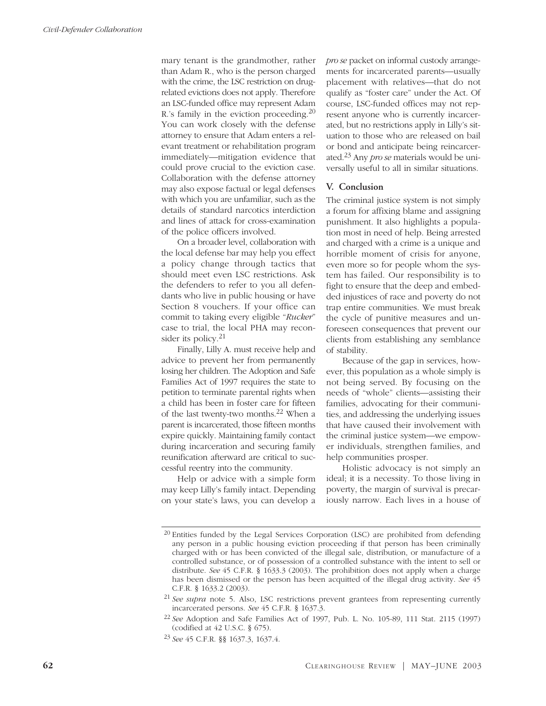mary tenant is the grandmother, rather than Adam R., who is the person charged with the crime, the LSC restriction on drugrelated evictions does not apply. Therefore an LSC-funded office may represent Adam R.'s family in the eviction proceeding.20 You can work closely with the defense attorney to ensure that Adam enters a relevant treatment or rehabilitation program immediately—mitigation evidence that could prove crucial to the eviction case. Collaboration with the defense attorney may also expose factual or legal defenses with which you are unfamiliar, such as the details of standard narcotics interdiction and lines of attack for cross-examination of the police officers involved.

On a broader level, collaboration with the local defense bar may help you effect a policy change through tactics that should meet even LSC restrictions. Ask the defenders to refer to you all defendants who live in public housing or have Section 8 vouchers. If your office can commit to taking every eligible "*Rucker*" case to trial, the local PHA may reconsider its policy.21

Finally, Lilly A. must receive help and advice to prevent her from permanently losing her children. The Adoption and Safe Families Act of 1997 requires the state to petition to terminate parental rights when a child has been in foster care for fifteen of the last twenty-two months.22 When a parent is incarcerated, those fifteen months expire quickly. Maintaining family contact during incarceration and securing family reunification afterward are critical to successful reentry into the community.

Help or advice with a simple form may keep Lilly's family intact. Depending on your state's laws, you can develop a *pro se* packet on informal custody arrangements for incarcerated parents—usually placement with relatives—that do not qualify as "foster care" under the Act. Of course, LSC-funded offices may not represent anyone who is currently incarcerated, but no restrictions apply in Lilly's situation to those who are released on bail or bond and anticipate being reincarcerated.23 Any *pro se* materials would be universally useful to all in similar situations.

#### **V. Conclusion**

The criminal justice system is not simply a forum for affixing blame and assigning punishment. It also highlights a population most in need of help. Being arrested and charged with a crime is a unique and horrible moment of crisis for anyone, even more so for people whom the system has failed. Our responsibility is to fight to ensure that the deep and embedded injustices of race and poverty do not trap entire communities. We must break the cycle of punitive measures and unforeseen consequences that prevent our clients from establishing any semblance of stability.

Because of the gap in services, however, this population as a whole simply is not being served. By focusing on the needs of "whole" clients—assisting their families, advocating for their communities, and addressing the underlying issues that have caused their involvement with the criminal justice system—we empower individuals, strengthen families, and help communities prosper.

Holistic advocacy is not simply an ideal; it is a necessity. To those living in poverty, the margin of survival is precariously narrow. Each lives in a house of

<sup>&</sup>lt;sup>20</sup> Entities funded by the Legal Services Corporation (LSC) are prohibited from defending any person in a public housing eviction proceeding if that person has been criminally charged with or has been convicted of the illegal sale, distribution, or manufacture of a controlled substance, or of possession of a controlled substance with the intent to sell or distribute. *See* 45 C.F.R. § 1633.3 (2003). The prohibition does not apply when a charge has been dismissed or the person has been acquitted of the illegal drug activity. *See* 45 C.F.R. § 1633.2 (2003).

<sup>21</sup> *See supra* note 5. Also, LSC restrictions prevent grantees from representing currently incarcerated persons. *See* 45 C.F.R. § 1637.3.

<sup>22</sup> *See* Adoption and Safe Families Act of 1997, Pub. L. No. 105-89, 111 Stat. 2115 (1997) (codified at 42 U.S.C. § 675).

<sup>23</sup> *See* 45 C.F.R. §§ 1637.3, 1637.4.